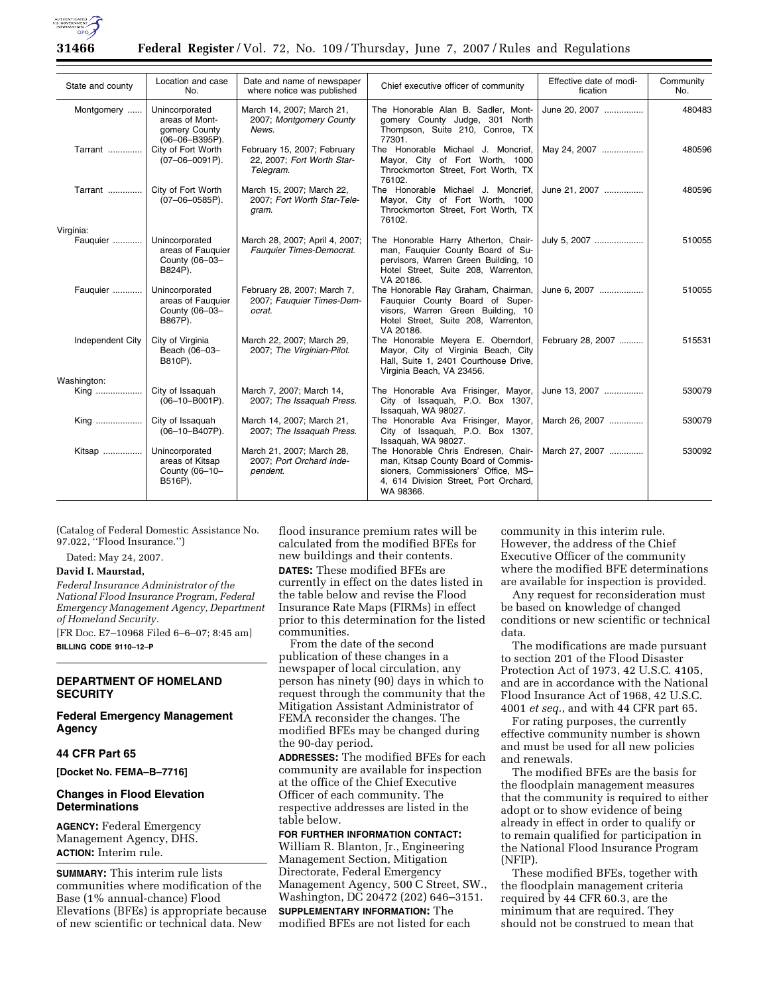

| State and county | Location and case<br>No.                                            | Date and name of newspaper<br>where notice was published               | Chief executive officer of community                                                                                                                                     | Effective date of modi-<br>fication | Community<br>No. |
|------------------|---------------------------------------------------------------------|------------------------------------------------------------------------|--------------------------------------------------------------------------------------------------------------------------------------------------------------------------|-------------------------------------|------------------|
| Montgomery       | Unincorporated<br>areas of Mont-<br>gomery County<br>(06-06-B395P). | March 14, 2007; March 21,<br>2007; Montgomery County<br>News.          | The Honorable Alan B. Sadler, Mont-<br>gomery County Judge, 301 North<br>Thompson, Suite 210, Conroe, TX<br>77301.                                                       | June 20, 2007                       | 480483           |
| Tarrant          | City of Fort Worth<br>$(07-06-0091P)$ .                             | February 15, 2007; February<br>22, 2007; Fort Worth Star-<br>Telegram. | The Honorable Michael J. Moncrief,<br>Mayor, City of Fort Worth, 1000<br>Throckmorton Street, Fort Worth, TX<br>76102.                                                   | May 24, 2007                        | 480596           |
| Tarrant          | City of Fort Worth<br>$(07-06-0585P)$ .                             | March 15, 2007; March 22,<br>2007: Fort Worth Star-Tele-<br>gram.      | The Honorable Michael J. Moncrief,<br>Mayor, City of Fort Worth, 1000<br>Throckmorton Street, Fort Worth, TX<br>76102.                                                   | June 21, 2007                       | 480596           |
| Virginia:        |                                                                     |                                                                        |                                                                                                                                                                          |                                     |                  |
| Fauquier         | Unincorporated<br>areas of Fauguier<br>County (06-03-<br>B824P).    | March 28, 2007; April 4, 2007;<br>Fauguier Times-Democrat.             | The Honorable Harry Atherton, Chair-<br>man, Fauquier County Board of Su-<br>pervisors, Warren Green Building, 10<br>Hotel Street, Suite 208, Warrenton,<br>VA 20186.    | July 5, 2007                        | 510055           |
| Fauguier         | Unincorporated<br>areas of Fauguier<br>County (06-03-<br>B867P).    | February 28, 2007; March 7,<br>2007; Fauguier Times-Dem-<br>ocrat.     | The Honorable Ray Graham, Chairman,<br>Fauquier County Board of Super-<br>visors, Warren Green Building, 10<br>Hotel Street, Suite 208, Warrenton,<br>VA 20186.          | June 6, 2007                        | 510055           |
| Independent City | City of Virginia<br>Beach (06-03-<br>B810P).                        | March 22, 2007; March 29,<br>2007; The Virginian-Pilot.                | The Honorable Meyera E. Oberndorf,<br>Mayor, City of Virginia Beach, City<br>Hall, Suite 1, 2401 Courthouse Drive,<br>Virginia Beach, VA 23456.                          | February 28, 2007                   | 515531           |
| Washington:      |                                                                     |                                                                        |                                                                                                                                                                          |                                     |                  |
| King             | City of Issaquah<br>$(06-10-B001P)$ .                               | March 7, 2007; March 14,<br>2007; The Issaquah Press.                  | The Honorable Ava Frisinger, Mayor,<br>City of Issaquah, P.O. Box 1307,<br>Issaquah, WA 98027.                                                                           | June 13, 2007                       | 530079           |
| King             | City of Issaquah<br>$(06-10-B407P)$ .                               | March 14, 2007; March 21,<br>2007; The Issaquah Press.                 | The Honorable Ava Frisinger, Mayor,<br>City of Issaquah, P.O. Box 1307,<br>Issaguah, WA 98027.                                                                           | March 26, 2007                      | 530079           |
| Kitsap           | Unincorporated<br>areas of Kitsap<br>County (06-10-<br>B516P).      | March 21, 2007; March 28,<br>2007; Port Orchard Inde-<br>pendent.      | The Honorable Chris Endresen, Chair-<br>man, Kitsap County Board of Commis-<br>sioners, Commissioners' Office, MS-<br>4, 614 Division Street, Port Orchard,<br>WA 98366. | March 27, 2007                      | 530092           |

(Catalog of Federal Domestic Assistance No. 97.022, ''Flood Insurance.'')

Dated: May 24, 2007.

#### **David I. Maurstad,**

*Federal Insurance Administrator of the National Flood Insurance Program, Federal Emergency Management Agency, Department of Homeland Security.* 

[FR Doc. E7–10968 Filed 6–6–07; 8:45 am] **BILLING CODE 9110–12–P** 

## **DEPARTMENT OF HOMELAND SECURITY**

# **Federal Emergency Management Agency**

#### **44 CFR Part 65**

**[Docket No. FEMA–B–7716]** 

#### **Changes in Flood Elevation Determinations**

**AGENCY:** Federal Emergency Management Agency, DHS. **ACTION:** Interim rule.

**SUMMARY:** This interim rule lists communities where modification of the Base (1% annual-chance) Flood Elevations (BFEs) is appropriate because of new scientific or technical data. New

flood insurance premium rates will be calculated from the modified BFEs for new buildings and their contents. **DATES:** These modified BFEs are currently in effect on the dates listed in the table below and revise the Flood Insurance Rate Maps (FIRMs) in effect prior to this determination for the listed communities.

From the date of the second publication of these changes in a newspaper of local circulation, any person has ninety (90) days in which to request through the community that the Mitigation Assistant Administrator of FEMA reconsider the changes. The modified BFEs may be changed during the 90-day period.

**ADDRESSES:** The modified BFEs for each community are available for inspection at the office of the Chief Executive Officer of each community. The respective addresses are listed in the table below.

# **FOR FURTHER INFORMATION CONTACT:**

William R. Blanton, Jr., Engineering Management Section, Mitigation Directorate, Federal Emergency Management Agency, 500 C Street, SW., Washington, DC 20472 (202) 646–3151. **SUPPLEMENTARY INFORMATION:** The modified BFEs are not listed for each

community in this interim rule. However, the address of the Chief Executive Officer of the community where the modified BFE determinations are available for inspection is provided.

Any request for reconsideration must be based on knowledge of changed conditions or new scientific or technical data.

The modifications are made pursuant to section 201 of the Flood Disaster Protection Act of 1973, 42 U.S.C. 4105, and are in accordance with the National Flood Insurance Act of 1968, 42 U.S.C. 4001 *et seq.*, and with 44 CFR part 65.

For rating purposes, the currently effective community number is shown and must be used for all new policies and renewals.

The modified BFEs are the basis for the floodplain management measures that the community is required to either adopt or to show evidence of being already in effect in order to qualify or to remain qualified for participation in the National Flood Insurance Program (NFIP).

These modified BFEs, together with the floodplain management criteria required by 44 CFR 60.3, are the minimum that are required. They should not be construed to mean that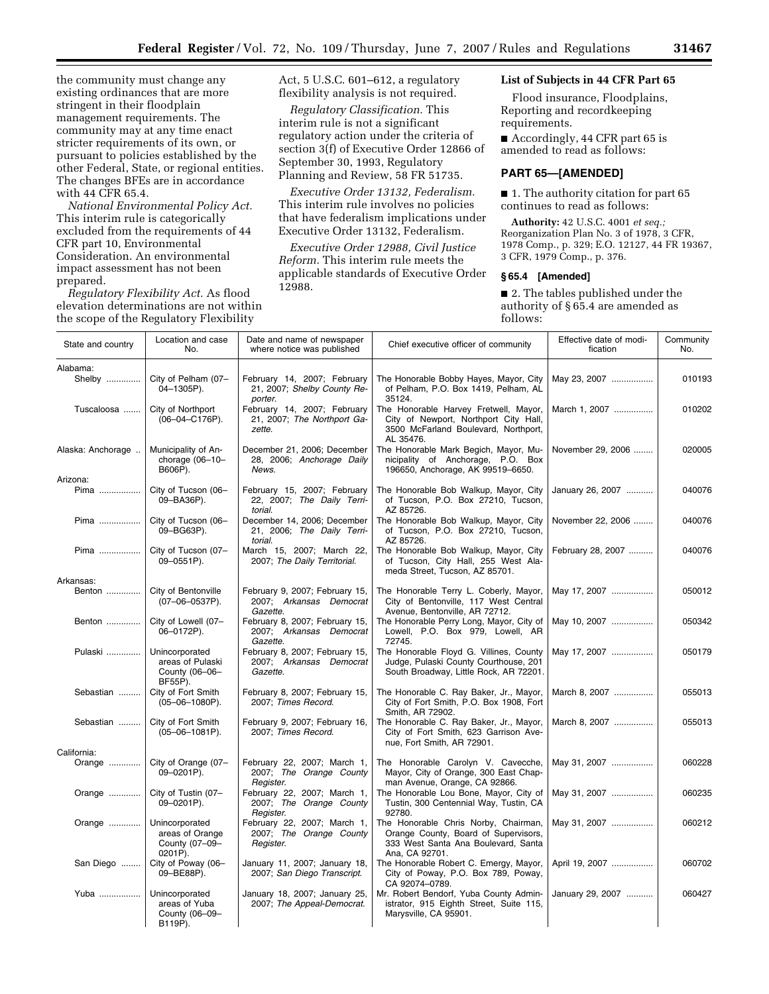the community must change any existing ordinances that are more stringent in their floodplain management requirements. The community may at any time enact stricter requirements of its own, or pursuant to policies established by the other Federal, State, or regional entities. The changes BFEs are in accordance with 44 CFR 65.4.

*National Environmental Policy Act.*  This interim rule is categorically excluded from the requirements of 44 CFR part 10, Environmental Consideration. An environmental impact assessment has not been prepared.

*Regulatory Flexibility Act.* As flood elevation determinations are not within the scope of the Regulatory Flexibility

Act, 5 U.S.C. 601–612, a regulatory flexibility analysis is not required.

*Regulatory Classification.* This interim rule is not a significant regulatory action under the criteria of section 3(f) of Executive Order 12866 of September 30, 1993, Regulatory Planning and Review, 58 FR 51735.

*Executive Order 13132, Federalism.*  This interim rule involves no policies that have federalism implications under Executive Order 13132, Federalism.

*Executive Order 12988, Civil Justice Reform.* This interim rule meets the applicable standards of Executive Order 12988.

# **List of Subjects in 44 CFR Part 65**

Flood insurance, Floodplains, Reporting and recordkeeping requirements.

■ Accordingly, 44 CFR part 65 is amended to read as follows:

## **PART 65—[AMENDED]**

■ 1. The authority citation for part 65 continues to read as follows:

**Authority:** 42 U.S.C. 4001 *et seq.;*  Reorganization Plan No. 3 of 1978, 3 CFR, 1978 Comp., p. 329; E.O. 12127, 44 FR 19367, 3 CFR, 1979 Comp., p. 376.

#### **§ 65.4 [Amended]**

■ 2. The tables published under the authority of § 65.4 are amended as follows:

| State and country | Location and case<br>No.                                        | Date and name of newspaper<br>where notice was published                        | Chief executive officer of community                                                                                                          | Effective date of modi-<br>fication | Community<br>No. |
|-------------------|-----------------------------------------------------------------|---------------------------------------------------------------------------------|-----------------------------------------------------------------------------------------------------------------------------------------------|-------------------------------------|------------------|
| Alabama:          |                                                                 |                                                                                 |                                                                                                                                               |                                     |                  |
| Shelby            | City of Pelham (07-<br>04-1305P).                               | February 14, 2007; February<br>21, 2007; Shelby County Re-                      | The Honorable Bobby Hayes, Mayor, City<br>of Pelham, P.O. Box 1419, Pelham, AL                                                                | May 23, 2007                        | 010193           |
| Tuscaloosa        | City of Northport<br>$(06-04-C176P)$ .                          | porter.<br>February 14, 2007; February<br>21, 2007; The Northport Ga-<br>zette. | 35124.<br>The Honorable Harvey Fretwell, Mayor,<br>City of Newport, Northport City Hall,<br>3500 McFarland Boulevard, Northport,<br>AL 35476. | March 1, 2007                       | 010202           |
| Alaska: Anchorage | Municipality of An-<br>chorage $(06-10-$<br>B606P).             | December 21, 2006; December<br>28, 2006; Anchorage Daily<br>News.               | The Honorable Mark Begich, Mayor, Mu-<br>nicipality of Anchorage, P.O. Box<br>196650, Anchorage, AK 99519-6650.                               | November 29, 2006                   | 020005           |
| Arizona:          |                                                                 |                                                                                 |                                                                                                                                               |                                     |                  |
| Pima              | City of Tucson (06-<br>09-BA36P).                               | February 15, 2007; February<br>22, 2007; The Daily Terri-<br>torial.            | The Honorable Bob Walkup, Mayor, City<br>of Tucson, P.O. Box 27210, Tucson,<br>AZ 85726.                                                      | January 26, 2007                    | 040076           |
| Pima              | City of Tucson (06-<br>09-BG63P).                               | December 14, 2006; December<br>21, 2006; The Daily Terri-<br>torial.            | The Honorable Bob Walkup, Mayor, City<br>of Tucson, P.O. Box 27210, Tucson,<br>AZ 85726.                                                      | November 22, 2006                   | 040076           |
| Pima              | City of Tucson (07-<br>09-0551P).                               | March 15, 2007; March 22,<br>2007; The Daily Territorial.                       | The Honorable Bob Walkup, Mayor, City<br>of Tucson, City Hall, 255 West Ala-<br>meda Street, Tucson, AZ 85701.                                | February 28, 2007                   | 040076           |
| Arkansas:         |                                                                 |                                                                                 |                                                                                                                                               |                                     |                  |
| Benton            | City of Bentonville<br>$(07-06-0537P)$ .                        | February 9, 2007; February 15,<br>2007; Arkansas Democrat<br>Gazette.           | The Honorable Terry L. Coberly, Mayor,<br>City of Bentonville, 117 West Central<br>Avenue. Bentonville. AR 72712.                             | May 17, 2007                        | 050012           |
| Benton            | City of Lowell (07-<br>06-0172P).                               | February 8, 2007; February 15,<br>2007; Arkansas Democrat<br>Gazette.           | The Honorable Perry Long, Mayor, City of<br>Lowell, P.O. Box 979, Lowell, AR<br>72745.                                                        | May 10, 2007                        | 050342           |
| Pulaski           | Unincorporated<br>areas of Pulaski<br>County (06-06-<br>BF55P). | February 8, 2007; February 15,<br>2007; Arkansas Democrat<br>Gazette.           | The Honorable Floyd G. Villines, County<br>Judge, Pulaski County Courthouse, 201<br>South Broadway, Little Rock, AR 72201.                    | May 17, 2007                        | 050179           |
| Sebastian         | City of Fort Smith<br>$(05-06-1080P)$ .                         | February 8, 2007; February 15,<br>2007; Times Record.                           | The Honorable C. Ray Baker, Jr., Mayor,<br>City of Fort Smith, P.O. Box 1908, Fort<br>Smith, AR 72902.                                        | March 8, 2007                       | 055013           |
| Sebastian         | City of Fort Smith<br>$(05-06-1081P)$ .                         | February 9, 2007; February 16,<br>2007; Times Record.                           | The Honorable C. Ray Baker, Jr., Mayor,<br>City of Fort Smith, 623 Garrison Ave-<br>nue, Fort Smith, AR 72901.                                | March 8, 2007                       | 055013           |
| California:       |                                                                 |                                                                                 |                                                                                                                                               |                                     |                  |
| Orange            | City of Orange (07-<br>09-0201P).                               | February 22, 2007; March 1,<br>2007; The Orange County<br>Register.             | The Honorable Carolyn V. Cavecche,<br>Mayor, City of Orange, 300 East Chap-<br>man Avenue, Orange, CA 92866.                                  | May 31, 2007                        | 060228           |
| Orange            | City of Tustin (07-<br>09-0201P).                               | February 22, 2007; March 1,<br>2007; The Orange County<br>Register.             | The Honorable Lou Bone, Mayor, City of<br>Tustin, 300 Centennial Way, Tustin, CA<br>92780.                                                    | May 31, 2007                        | 060235           |
| Orange            | Unincorporated<br>areas of Orange<br>County (07-09-<br>0201P).  | February 22, 2007; March 1,<br>2007; The Orange County<br>Register.             | The Honorable Chris Norby, Chairman,<br>Orange County, Board of Supervisors,<br>333 West Santa Ana Boulevard, Santa<br>Ana, CA 92701.         | May 31, 2007                        | 060212           |
| San Diego         | City of Poway (06-<br>09-BE88P).                                | January 11, 2007; January 18,<br>2007; San Diego Transcript.                    | The Honorable Robert C. Emergy, Mayor,<br>City of Poway, P.O. Box 789, Poway,<br>CA 92074-0789.                                               | April 19, 2007                      | 060702           |
| Yuba              | Unincorporated<br>areas of Yuba<br>County (06-09-<br>B119P).    | January 18, 2007; January 25,<br>2007; The Appeal-Democrat.                     | Mr. Robert Bendorf, Yuba County Admin-<br>istrator, 915 Eighth Street, Suite 115,<br>Marysville, CA 95901.                                    | January 29, 2007                    | 060427           |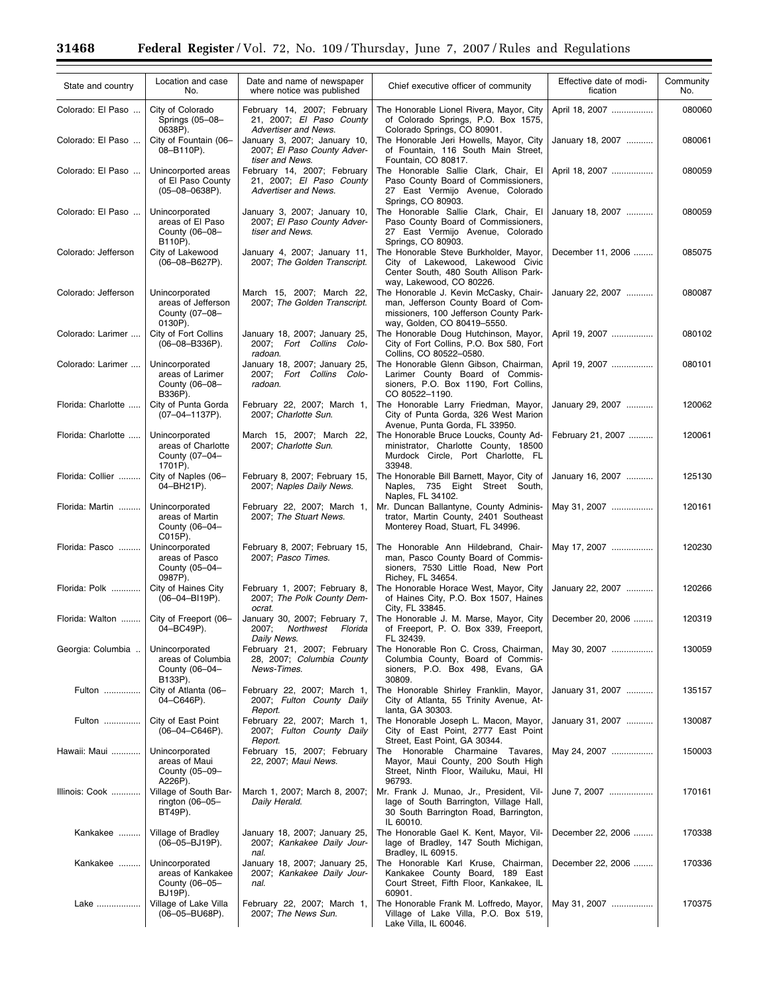| State and country   | Location and case<br>No.                                          | Date and name of newspaper<br>where notice was published                               | Chief executive officer of community                                                                                                                         | Effective date of modi-<br>fication | Community<br>No. |
|---------------------|-------------------------------------------------------------------|----------------------------------------------------------------------------------------|--------------------------------------------------------------------------------------------------------------------------------------------------------------|-------------------------------------|------------------|
| Colorado: El Paso   | City of Colorado<br>Springs (05-08-<br>0638P).                    | February 14, 2007; February<br>21, 2007; El Paso County<br>Advertiser and News.        | The Honorable Lionel Rivera, Mayor, City<br>of Colorado Springs, P.O. Box 1575,<br>Colorado Springs, CO 80901.                                               | April 18, 2007                      | 080060           |
| Colorado: El Paso   | City of Fountain (06-<br>08-B110P).                               | January 3, 2007; January 10,<br>2007; El Paso County Adver-<br>tiser and News.         | The Honorable Jeri Howells, Mayor, City<br>of Fountain, 116 South Main Street,<br>Fountain, CO 80817.                                                        | January 18, 2007                    | 080061           |
| Colorado: El Paso   | Unincorported areas<br>of El Paso County<br>$(05-08-0638P)$ .     | February 14, 2007; February<br>21, 2007; El Paso County<br><b>Advertiser and News.</b> | The Honorable Sallie Clark, Chair, El<br>Paso County Board of Commissioners,<br>27 East Vermijo Avenue, Colorado                                             | April 18, 2007                      | 080059           |
| Colorado: El Paso   | Unincorporated<br>areas of El Paso<br>County (06-08-<br>B110P).   | January 3, 2007; January 10,<br>2007: El Paso County Adver-<br>tiser and News.         | Springs, CO 80903.<br>The Honorable Sallie Clark, Chair, El<br>Paso County Board of Commissioners,<br>27 East Vermijo Avenue, Colorado<br>Springs, CO 80903. | January 18, 2007                    | 080059           |
| Colorado: Jefferson | City of Lakewood<br>$(06 - 08 - B627P)$ .                         | January 4, 2007; January 11,<br>2007; The Golden Transcript.                           | The Honorable Steve Burkholder, Mayor,<br>City of Lakewood, Lakewood Civic<br>Center South, 480 South Allison Park-<br>way, Lakewood, CO 80226.              | December 11, 2006                   | 085075           |
| Colorado: Jefferson | Unincorporated<br>areas of Jefferson<br>County (07-08-<br>0130P). | March 15, 2007; March 22,<br>2007; The Golden Transcript.                              | The Honorable J. Kevin McCasky, Chair-<br>man, Jefferson County Board of Com-<br>missioners, 100 Jefferson County Park-<br>way, Golden, CO 80419-5550.       | January 22, 2007                    | 080087           |
| Colorado: Larimer   | City of Fort Collins<br>$(06 - 08 - B336P)$ .                     | January 18, 2007; January 25,<br>2007; Fort Collins Colo-<br>radoan.                   | The Honorable Doug Hutchinson, Mayor,<br>City of Fort Collins, P.O. Box 580, Fort<br>Collins. CO 80522-0580.                                                 | April 19, 2007                      | 080102           |
| Colorado: Larimer   | Unincorporated<br>areas of Larimer<br>County (06-08-<br>B336P).   | January 18, 2007; January 25,<br>2007; Fort Collins Colo-<br>radoan.                   | The Honorable Glenn Gibson, Chairman.<br>Larimer County Board of Commis-<br>sioners, P.O. Box 1190, Fort Collins,<br>CO 80522-1190.                          | April 19, 2007                      | 080101           |
| Florida: Charlotte  | City of Punta Gorda<br>$(07-04-1137P)$ .                          | February 22, 2007; March 1,<br>2007; Charlotte Sun.                                    | The Honorable Larry Friedman, Mayor,<br>City of Punta Gorda, 326 West Marion<br>Avenue, Punta Gorda, FL 33950.                                               | January 29, 2007                    | 120062           |
| Florida: Charlotte  | Unincorporated<br>areas of Charlotte<br>County (07-04-<br>1701P). | March 15, 2007; March 22,<br>2007; Charlotte Sun.                                      | The Honorable Bruce Loucks, County Ad-<br>ministrator, Charlotte County, 18500<br>Murdock Circle, Port Charlotte, FL<br>33948.                               | February 21, 2007                   | 120061           |
| Florida: Collier    | City of Naples (06-<br>04-BH21P).                                 | February 8, 2007; February 15,<br>2007; Naples Daily News.                             | The Honorable Bill Barnett, Mayor, City of<br>Naples, 735 Eight Street South,<br>Naples, FL 34102.                                                           | January 16, 2007                    | 125130           |
| Florida: Martin     | Unincorporated<br>areas of Martin<br>County (06-04-<br>C015P).    | February 22, 2007; March 1,<br>2007; The Stuart News.                                  | Mr. Duncan Ballantyne, County Adminis-<br>trator, Martin County, 2401 Southeast<br>Monterey Road, Stuart, FL 34996.                                          | May 31, 2007                        | 120161           |
| Florida: Pasco      | Unincorporated<br>areas of Pasco<br>County (05-04-<br>0987P).     | February 8, 2007; February 15,<br>2007; Pasco Times.                                   | The Honorable Ann Hildebrand, Chair-<br>man, Pasco County Board of Commis-<br>sioners, 7530 Little Road, New Port<br>Richey, FL 34654.                       | May 17, 2007                        | 120230           |
| Florida: Polk       | City of Haines City<br>$(06 - 04 - B119P)$ .                      | February 1, 2007; February 8,<br>2007; The Polk County Dem-<br>ocrat.                  | The Honorable Horace West, Mayor, City<br>of Haines City, P.O. Box 1507, Haines<br>City, FL 33845.                                                           | January 22, 2007                    | 120266           |
| Florida: Walton     | City of Freeport (06-<br>04-BC49P).                               | January 30, 2007; February 7,<br>2007; Northwest Florida<br>Daily News.                | The Honorable J. M. Marse, Mayor, City<br>of Freeport, P. O. Box 339, Freeport,<br>FL 32439.                                                                 | December 20, 2006                   | 120319           |
| Georgia: Columbia   | Unincorporated<br>areas of Columbia<br>County (06-04-<br>B133P).  | February 21, 2007; February<br>28, 2007; Columbia County<br>News-Times.                | The Honorable Ron C. Cross, Chairman,<br>Columbia County, Board of Commis-<br>sioners, P.O. Box 498, Evans, GA<br>30809.                                     | May 30, 2007                        | 130059           |
| Fulton              | City of Atlanta (06-<br>04-C646P).                                | February 22, 2007; March 1,<br>2007; Fulton County Daily<br>Report.                    | The Honorable Shirley Franklin, Mayor,<br>City of Atlanta, 55 Trinity Avenue, At-<br>lanta, GA 30303.                                                        | January 31, 2007                    | 135157           |
| Fulton              | City of East Point<br>$(06 - 04 - C646P)$ .                       | February 22, 2007; March 1,<br>2007; Fulton County Daily<br>Report.                    | The Honorable Joseph L. Macon, Mayor,<br>City of East Point, 2777 East Point<br>Street, East Point, GA 30344.                                                | January 31, 2007                    | 130087           |
| Hawaii: Maui        | Unincorporated<br>areas of Maui<br>County (05-09-<br>A226P).      | February 15, 2007; February<br>22, 2007; Maui News.                                    | The Honorable Charmaine Tavares,<br>Mayor, Maui County, 200 South High<br>Street, Ninth Floor, Wailuku, Maui, HI<br>96793.                                   | May 24, 2007                        | 150003           |
| Illinois: Cook      | Village of South Bar-<br>rington $(06-05-$<br>BT49P).             | March 1, 2007; March 8, 2007;<br>Daily Herald.                                         | Mr. Frank J. Munao, Jr., President, Vil-<br>lage of South Barrington, Village Hall,<br>30 South Barrington Road, Barrington,<br>IL 60010.                    | June 7, 2007                        | 170161           |
| Kankakee            | Village of Bradley<br>$(06 - 05 - BJ19P)$ .                       | January 18, 2007; January 25,<br>2007; Kankakee Daily Jour-<br>nal.                    | The Honorable Gael K. Kent, Mayor, Vil-<br>lage of Bradley, 147 South Michigan,<br>Bradley, IL 60915.                                                        | December 22, 2006                   | 170338           |
| Kankakee            | Unincorporated<br>areas of Kankakee<br>County (06-05-<br>BJ19P).  | January 18, 2007; January 25,<br>2007; Kankakee Daily Jour-<br>nal.                    | The Honorable Karl Kruse, Chairman,<br>Kankakee County Board, 189 East<br>Court Street, Fifth Floor, Kankakee, IL<br>60901.                                  | December 22, 2006                   | 170336           |
| Lake                | Village of Lake Villa<br>$(06 - 05 - BUB8P)$ .                    | February 22, 2007; March 1,<br>2007; The News Sun.                                     | The Honorable Frank M. Loffredo, Mayor,<br>Village of Lake Villa, P.O. Box 519,<br>Lake Villa, IL 60046.                                                     | May 31, 2007                        | 170375           |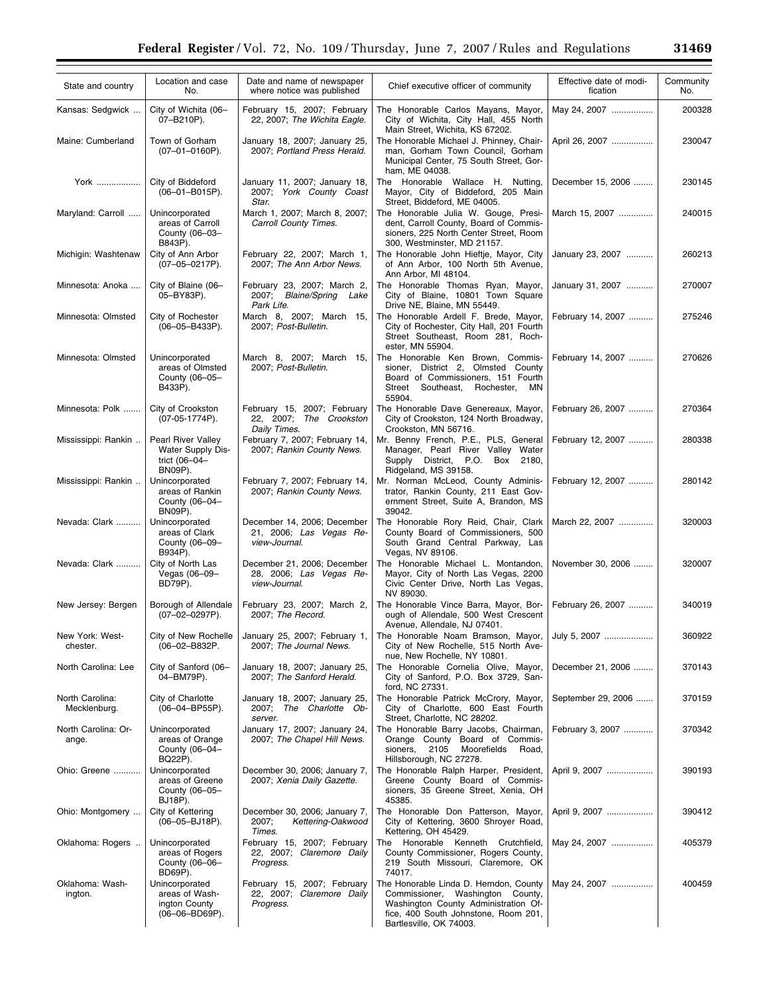| State and country               | Location and case<br>No.                                                   | Date and name of newspaper<br>where notice was published                | Chief executive officer of community                                                                                                                                                  | Effective date of modi-<br>fication | Community<br>No. |
|---------------------------------|----------------------------------------------------------------------------|-------------------------------------------------------------------------|---------------------------------------------------------------------------------------------------------------------------------------------------------------------------------------|-------------------------------------|------------------|
| Kansas: Sedgwick                | City of Wichita (06-<br>07-B210P).                                         | February 15, 2007; February<br>22, 2007; The Wichita Eagle.             | The Honorable Carlos Mayans, Mayor,<br>City of Wichita, City Hall, 455 North<br>Main Street, Wichita, KS 67202.                                                                       | May 24, 2007                        | 200328           |
| Maine: Cumberland               | Town of Gorham<br>$(07-01-0160P)$ .                                        | January 18, 2007; January 25,<br>2007; Portland Press Herald.           | The Honorable Michael J. Phinney, Chair-<br>man, Gorham Town Council, Gorham<br>Municipal Center, 75 South Street, Gor-<br>ham, ME 04038.                                             | April 26, 2007                      | 230047           |
| York                            | City of Biddeford<br>$(06 - 01 - B015P)$ .                                 | January 11, 2007; January 18,<br>2007: York County Coast<br>Star.       | The Honorable Wallace H. Nutting,<br>Mayor, City of Biddeford, 205 Main<br>Street, Biddeford, ME 04005.                                                                               | December 15, 2006                   | 230145           |
| Maryland: Carroll               | Unincorporated<br>areas of Carroll<br>County (06-03-<br>B843P).            | March 1, 2007; March 8, 2007;<br>Carroll County Times.                  | The Honorable Julia W. Gouge, Presi-<br>dent, Carroll County, Board of Commis-<br>sioners, 225 North Center Street, Room<br>300, Westminster, MD 21157.                               | March 15, 2007                      | 240015           |
| Michigin: Washtenaw             | City of Ann Arbor<br>$(07-05-0217P)$ .                                     | February 22, 2007; March 1,<br>2007; The Ann Arbor News.                | The Honorable John Hieftje, Mayor, City<br>of Ann Arbor, 100 North 5th Avenue,<br>Ann Arbor, MI 48104.                                                                                | January 23, 2007                    | 260213           |
| Minnesota: Anoka                | City of Blaine (06-<br>05-BY83P).                                          | February 23, 2007; March 2,<br>2007; Blaine/Spring Lake<br>Park Life.   | The Honorable Thomas Ryan, Mayor,<br>City of Blaine, 10801 Town Square<br>Drive NE, Blaine, MN 55449.                                                                                 | January 31, 2007                    | 270007           |
| Minnesota: Olmsted              | City of Rochester<br>(06-05-B433P).                                        | March 8, 2007; March 15,<br>2007; Post-Bulletin.                        | The Honorable Ardell F. Brede, Mayor,<br>City of Rochester, City Hall, 201 Fourth<br>Street Southeast, Room 281, Roch-<br>ester, MN 55904.                                            | February 14, 2007                   | 275246           |
| Minnesota: Olmsted              | Unincorporated<br>areas of Olmsted<br>County (06-05-<br>B433P).            | March 8, 2007; March 15,<br>2007; Post-Bulletin.                        | The Honorable Ken Brown, Commis-<br>sioner, District 2, Olmsted County<br>Board of Commissioners, 151 Fourth<br>Street<br>Southeast,<br>Rochester, MN<br>55904.                       | February 14, 2007                   | 270626           |
| Minnesota: Polk                 | City of Crookston<br>(07-05-1774P).                                        | February 15, 2007; February<br>22, 2007; The Crookston<br>Daily Times.  | The Honorable Dave Genereaux, Mayor,<br>City of Crookston, 124 North Broadway,<br>Crookston, MN 56716.                                                                                | February 26, 2007                   | 270364           |
| Mississippi: Rankin             | Pearl River Valley<br><b>Water Supply Dis-</b><br>trict (06-04-<br>BN09P). | February 7, 2007; February 14,<br>2007; Rankin County News.             | Mr. Benny French, P.E., PLS, General<br>Manager, Pearl River Valley Water<br>Supply District, P.O. Box 2180,<br>Ridgeland, MS 39158.                                                  | February 12, 2007                   | 280338           |
| Mississippi: Rankin             | Unincorporated<br>areas of Rankin<br>County (06-04-<br>BN09P).             | February 7, 2007; February 14,<br>2007; Rankin County News.             | Mr. Norman McLeod, County Adminis-<br>trator, Rankin County, 211 East Gov-<br>ernment Street, Suite A, Brandon, MS<br>39042.                                                          | February 12, 2007                   | 280142           |
| Nevada: Clark                   | Unincorporated<br>areas of Clark<br>County (06-09-<br>B934P).              | December 14, 2006; December<br>21, 2006; Las Vegas Re-<br>view-Journal. | The Honorable Rory Reid, Chair, Clark<br>County Board of Commissioners, 500<br>South Grand Central Parkway, Las<br>Vegas, NV 89106.                                                   | March 22, 2007                      | 320003           |
| Nevada: Clark                   | City of North Las<br>Vegas (06-09-<br>BD79P).                              | December 21, 2006; December<br>28, 2006; Las Vegas Re-<br>view-Journal. | The Honorable Michael L. Montandon,<br>Mayor, City of North Las Vegas, 2200<br>Civic Center Drive, North Las Vegas,<br>NV 89030.                                                      | November 30, 2006                   | 320007           |
| New Jersey: Bergen              | Borough of Allendale<br>$(07-02-0297P)$ .                                  | February 23, 2007; March 2,<br>2007; The Record.                        | The Honorable Vince Barra, Mayor, Bor-<br>ough of Allendale, 500 West Crescent<br>Avenue, Allendale, NJ 07401.                                                                        | February 26, 2007                   | 340019           |
| New York: West-<br>chester.     | City of New Rochelle<br>(06-02-B832P.                                      | January 25, 2007; February 1,<br>2007; The Journal News.                | The Honorable Noam Bramson, Mayor,<br>City of New Rochelle, 515 North Ave-<br>nue, New Rochelle, NY 10801.                                                                            | July 5, 2007                        | 360922           |
| North Carolina: Lee             | City of Sanford (06-<br>04-BM79P).                                         | January 18, 2007; January 25,<br>2007; The Sanford Herald.              | The Honorable Cornelia Olive, Mayor,<br>City of Sanford, P.O. Box 3729, San-<br>ford, NC 27331.                                                                                       | December 21, 2006                   | 370143           |
| North Carolina:<br>Mecklenburg. | City of Charlotte<br>$(06 - 04 - BPS5P)$ .                                 | January 18, 2007; January 25,<br>2007; The Charlotte Ob-<br>server.     | The Honorable Patrick McCrory, Mayor,<br>City of Charlotte, 600 East Fourth<br>Street, Charlotte, NC 28202.                                                                           | September 29, 2006                  | 370159           |
| North Carolina: Or-<br>ange.    | Unincorporated<br>areas of Orange<br>County (06-04-<br>BQ22P).             | January 17, 2007; January 24,<br>2007; The Chapel Hill News.            | The Honorable Barry Jacobs, Chairman,<br>Orange County Board of Commis-<br>sioners,<br>2105<br>Moorefields<br>Road,<br>Hillsborough, NC 27278.                                        | February 3, 2007                    | 370342           |
| Ohio: Greene                    | Unincorporated<br>areas of Greene<br>County (06-05-<br>BJ18P).             | December 30, 2006; January 7,<br>2007; Xenia Daily Gazette.             | The Honorable Ralph Harper, President,<br>Greene County Board of Commis-<br>sioners, 35 Greene Street, Xenia, OH<br>45385.                                                            | April 9, 2007                       | 390193           |
| Ohio: Montgomery                | City of Kettering<br>$(06 - 05 - BJ18P)$ .                                 | December 30, 2006; January 7,<br>Kettering-Oakwood<br>2007;<br>Times.   | The Honorable Don Patterson, Mayor,<br>City of Kettering, 3600 Shroyer Road,<br>Kettering, OH 45429.                                                                                  | April 9, 2007                       | 390412           |
| Oklahoma: Rogers                | Unincorporated<br>areas of Rogers<br>County (06-06-<br>BD69P).             | February 15, 2007; February<br>22, 2007; Claremore Daily<br>Progress.   | Honorable Kenneth Crutchfield,<br>The<br>County Commissioner, Rogers County,<br>219 South Missouri, Claremore, OK<br>74017.                                                           | May 24, 2007                        | 405379           |
| Oklahoma: Wash-<br>ington.      | Unincorporated<br>areas of Wash-<br>ington County<br>(06-06-BD69P).        | February 15, 2007; February<br>22, 2007; Claremore Daily<br>Progress.   | The Honorable Linda D. Herndon, County<br>Commissioner, Washington County,<br>Washington County Administration Of-<br>fice, 400 South Johnstone, Room 201,<br>Bartlesville, OK 74003. | May 24, 2007                        | 400459           |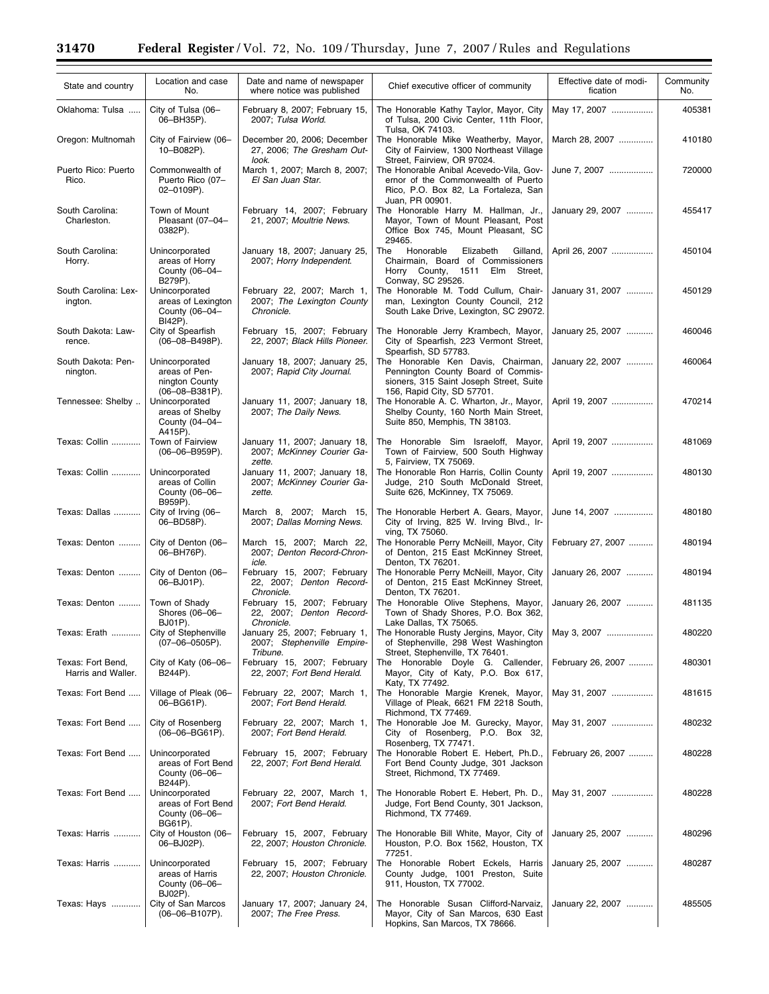$\equiv$ 

e.

| State and country                       | Location and case<br>No.                                                   | Date and name of newspaper<br>where notice was published                | Chief executive officer of community                                                                                                                  | Effective date of modi-<br>fication | Community<br>No. |
|-----------------------------------------|----------------------------------------------------------------------------|-------------------------------------------------------------------------|-------------------------------------------------------------------------------------------------------------------------------------------------------|-------------------------------------|------------------|
| Oklahoma: Tulsa                         | City of Tulsa (06-<br>06-BH35P).                                           | February 8, 2007; February 15,<br>2007; Tulsa World.                    | The Honorable Kathy Taylor, Mayor, City<br>of Tulsa, 200 Civic Center, 11th Floor,<br>Tulsa, OK 74103.                                                | May 17, 2007                        | 405381           |
| Oregon: Multnomah                       | City of Fairview (06-<br>10-B082P).                                        | December 20, 2006; December<br>27, 2006; The Gresham Out-               | The Honorable Mike Weatherby, Mayor,<br>City of Fairview, 1300 Northeast Village                                                                      | March 28, 2007                      | 410180           |
| Puerto Rico: Puerto<br>Rico.            | Commonwealth of<br>Puerto Rico (07-<br>02-0109P).                          | look.<br>March 1, 2007; March 8, 2007;<br>El San Juan Star.             | Street, Fairview, OR 97024.<br>The Honorable Anibal Acevedo-Vila, Gov-<br>ernor of the Commonwealth of Puerto<br>Rico, P.O. Box 82, La Fortaleza, San | June 7, 2007                        | 720000           |
| South Carolina:<br>Charleston.          | Town of Mount<br>Pleasant (07-04-<br>0382P).                               | February 14, 2007; February<br>21, 2007; Moultrie News.                 | Juan. PR 00901.<br>The Honorable Harry M. Hallman, Jr.,<br>Mayor, Town of Mount Pleasant, Post<br>Office Box 745, Mount Pleasant, SC<br>29465.        | January 29, 2007                    | 455417           |
| South Carolina:<br>Horry.               | Unincorporated<br>areas of Horry<br>County (06-04-<br>B279P).              | January 18, 2007; January 25,<br>2007; Horry Independent.               | Honorable<br>Elizabeth<br>The<br>Gilland,<br>Chairmain, Board of Commissioners<br>Horry County, 1511 Elm<br>Street,<br>Conway, SC 29526.              | April 26, 2007                      | 450104           |
| South Carolina: Lex-<br>ington.         | Unincorporated<br>areas of Lexington<br>County (06-04-<br>BI42P).          | February 22, 2007; March 1,<br>2007; The Lexington County<br>Chronicle. | The Honorable M. Todd Cullum, Chair-<br>man, Lexington County Council, 212<br>South Lake Drive, Lexington, SC 29072.                                  | January 31, 2007                    | 450129           |
| South Dakota: Law-<br>rence.            | City of Spearfish<br>$(06 - 08 - B498P)$ .                                 | February 15, 2007; February<br>22, 2007; Black Hills Pioneer.           | The Honorable Jerry Krambech, Mayor,<br>City of Spearfish, 223 Vermont Street,<br>Spearfish, SD 57783.                                                | January 25, 2007                    | 460046           |
| South Dakota: Pen-<br>nington.          | Unincorporated<br>areas of Pen-<br>nington County<br>$(06 - 08 - B381P)$ . | January 18, 2007; January 25,<br>2007; Rapid City Journal.              | The Honorable Ken Davis, Chairman,<br>Pennington County Board of Commis-<br>sioners, 315 Saint Joseph Street, Suite<br>156, Rapid City, SD 57701.     | January 22, 2007                    | 460064           |
| Tennessee: Shelby                       | Unincorporated<br>areas of Shelby<br>County (04-04-<br>A415P).             | January 11, 2007; January 18,<br>2007; The Daily News.                  | The Honorable A. C. Wharton, Jr., Mayor,<br>Shelby County, 160 North Main Street,<br>Suite 850, Memphis, TN 38103.                                    | April 19, 2007                      | 470214           |
| Texas: Collin                           | Town of Fairview<br>$(06 - 06 - B959P)$ .                                  | January 11, 2007; January 18,<br>2007; McKinney Courier Ga-<br>zette.   | The Honorable Sim Israeloff, Mayor,<br>Town of Fairview, 500 South Highway<br>5, Fairview, TX 75069.                                                  | April 19, 2007                      | 481069           |
| Texas: Collin                           | Unincorporated<br>areas of Collin<br>County (06-06-<br>B959P).             | January 11, 2007; January 18,<br>2007; McKinney Courier Ga-<br>zette.   | The Honorable Ron Harris, Collin County<br>Judge, 210 South McDonald Street,<br>Suite 626, McKinney, TX 75069.                                        | April 19, 2007                      | 480130           |
| Texas: Dallas                           | City of Irving (06-<br>06-BD58P).                                          | March 8, 2007; March 15,<br>2007; Dallas Morning News.                  | The Honorable Herbert A. Gears, Mayor,<br>City of Irving, 825 W. Irving Blvd., Ir-<br>ving, TX 75060.                                                 | June 14, 2007                       | 480180           |
| Texas: Denton                           | City of Denton (06-<br>06-BH76P).                                          | March 15, 2007; March 22,<br>2007; Denton Record-Chron-<br>icle.        | The Honorable Perry McNeill, Mayor, City<br>of Denton, 215 East McKinney Street,<br>Denton, TX 76201.                                                 | February 27, 2007                   | 480194           |
| Texas: Denton                           | City of Denton (06-<br>06-BJ01P).                                          | February 15, 2007; February<br>22, 2007; Denton Record-<br>Chronicle.   | The Honorable Perry McNeill, Mayor, City<br>of Denton, 215 East McKinney Street,<br>Denton, TX 76201.                                                 | January 26, 2007                    | 480194           |
| Texas: Denton                           | Town of Shady<br>Shores (06-06-<br>BJ01P).                                 | February 15, 2007; February<br>22, 2007; Denton Record-<br>Chronicle.   | The Honorable Olive Stephens, Mayor,<br>Town of Shady Shores, P.O. Box 362,<br>Lake Dallas, TX 75065.                                                 | January 26, 2007                    | 481135           |
| Texas: Erath                            | City of Stephenville<br>$(07-06-0505P)$ .                                  | January 25, 2007; February 1,<br>2007; Stephenville Empire-<br>Tribune. | The Honorable Rusty Jergins, Mayor, City  <br>of Stephenville, 298 West Washington<br>Street, Stephenville, TX 76401.                                 | May 3, 2007                         | 480220           |
| Texas: Fort Bend,<br>Harris and Waller. | City of Katy (06-06-<br>B244P).                                            | February 15, 2007; February<br>22, 2007; Fort Bend Herald.              | The Honorable Doyle G. Callender,<br>Mayor, City of Katy, P.O. Box 617,<br>Katy, TX 77492.                                                            | February 26, 2007                   | 480301           |
| Texas: Fort Bend                        | Village of Pleak (06-<br>06-BG61P).                                        | February 22, 2007; March 1,<br>2007; Fort Bend Herald.                  | The Honorable Margie Krenek, Mayor,<br>Village of Pleak, 6621 FM 2218 South,<br>Richmond, TX 77469.                                                   | May 31, 2007                        | 481615           |
| Texas: Fort Bend                        | City of Rosenberg<br>$(06 - 06 - BGG1P)$ .                                 | February 22, 2007; March 1,<br>2007; Fort Bend Herald.                  | The Honorable Joe M. Gurecky, Mayor,<br>City of Rosenberg, P.O. Box 32,<br>Rosenberg, TX 77471.                                                       | May 31, 2007                        | 480232           |
| Texas: Fort Bend                        | Unincorporated<br>areas of Fort Bend<br>County (06-06-<br>B244P).          | February 15, 2007; February<br>22, 2007; Fort Bend Herald.              | The Honorable Robert E. Hebert, Ph.D.,<br>Fort Bend County Judge, 301 Jackson<br>Street, Richmond, TX 77469.                                          | February 26, 2007                   | 480228           |
| Texas: Fort Bend                        | Unincorporated<br>areas of Fort Bend<br>County (06-06-<br>BG61P).          | February 22, 2007, March 1,<br>2007; Fort Bend Herald.                  | The Honorable Robert E. Hebert, Ph. D.,<br>Judge, Fort Bend County, 301 Jackson,<br>Richmond, TX 77469.                                               | May 31, 2007                        | 480228           |
| Texas: Harris                           | City of Houston (06-<br>06-BJ02P).                                         | February 15, 2007, February<br>22, 2007; Houston Chronicle.             | The Honorable Bill White, Mayor, City of<br>Houston, P.O. Box 1562, Houston, TX<br>77251.                                                             | January 25, 2007                    | 480296           |
| Texas: Harris                           | Unincorporated<br>areas of Harris<br>County (06-06-<br>BJ02P).             | February 15, 2007; February<br>22, 2007; Houston Chronicle.             | The Honorable Robert Eckels, Harris<br>County Judge, 1001 Preston, Suite<br>911, Houston, TX 77002.                                                   | January 25, 2007                    | 480287           |
| Texas: Hays                             | City of San Marcos<br>$(06 - 06 - B107P)$ .                                | January 17, 2007; January 24,<br>2007; The Free Press.                  | The Honorable Susan Clifford-Narvaiz,<br>Mayor, City of San Marcos, 630 East<br>Hopkins, San Marcos, TX 78666.                                        | January 22, 2007                    | 485505           |